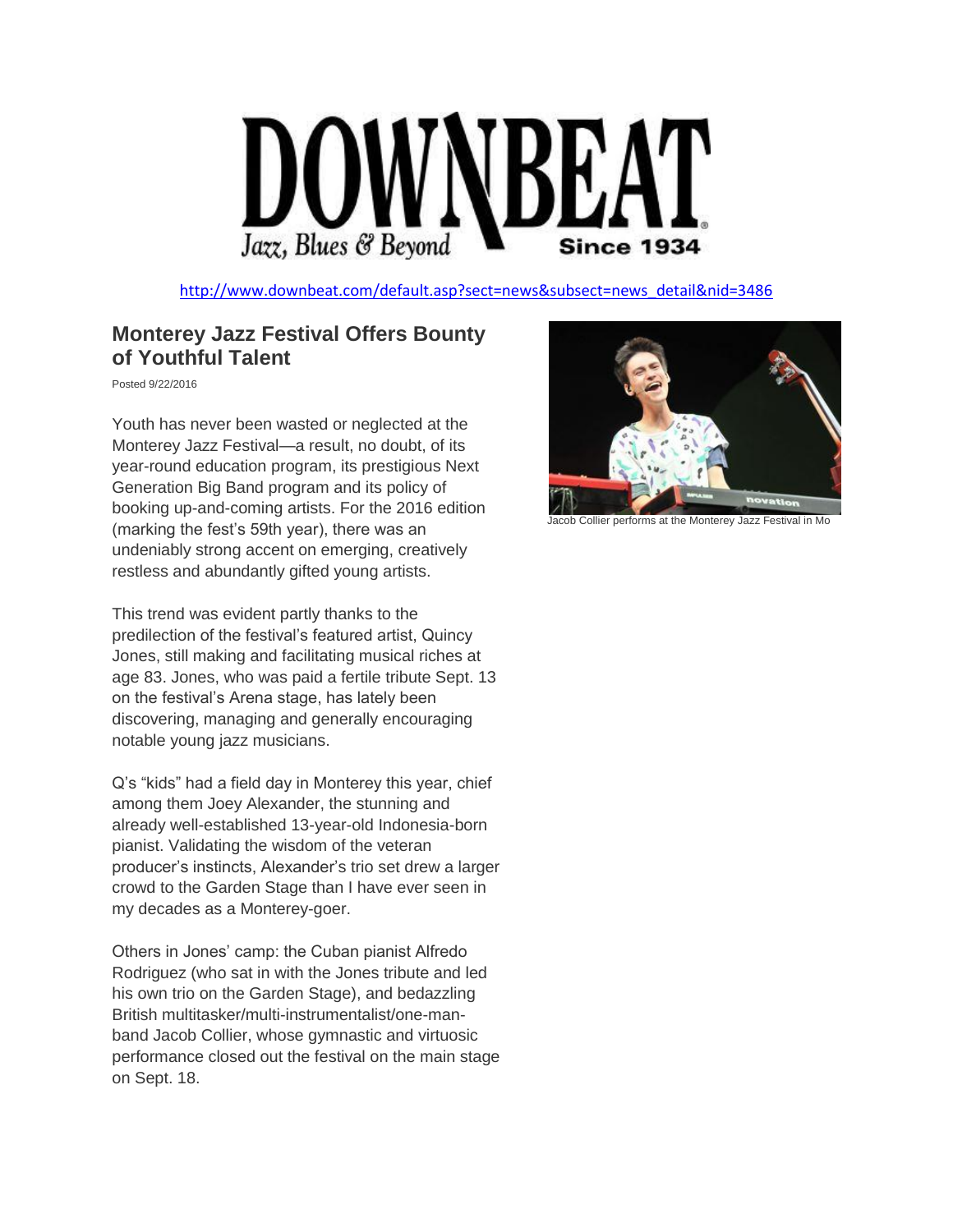

[http://www.downbeat.com/default.asp?sect=news&subsect=news\\_detail&nid=3486](http://www.downbeat.com/default.asp?sect=news&subsect=news_detail&nid=3486)

## **Monterey Jazz Festival Offers Bounty of Youthful Talent**

Posted 9/22/2016

Youth has never been wasted or neglected at the Monterey Jazz Festival—a result, no doubt, of its year-round education program, its prestigious Next Generation Big Band program and its policy of booking up-and-coming artists. For the 2016 edition (marking the fest's 59th year), there was an undeniably strong accent on emerging, creatively restless and abundantly gifted young artists.

This trend was evident partly thanks to the predilection of the festival's featured artist, Quincy Jones, still making and facilitating musical riches at age 83. Jones, who was paid a fertile tribute Sept. 13 on the festival's Arena stage, has lately been discovering, managing and generally encouraging notable young jazz musicians.

Q's "kids" had a field day in Monterey this year, chief among them Joey Alexander, the stunning and already well-established 13-year-old Indonesia-born pianist. Validating the wisdom of the veteran producer's instincts, Alexander's trio set drew a larger crowd to the Garden Stage than I have ever seen in my decades as a Monterey-goer.

Others in Jones' camp: the Cuban pianist Alfredo Rodriguez (who sat in with the Jones tribute and led his own trio on the Garden Stage), and bedazzling British multitasker/multi-instrumentalist/one-manband Jacob Collier, whose gymnastic and virtuosic performance closed out the festival on the main stage on Sept. 18.



Jacob Collier performs at the Monterey Jazz Festival in Mo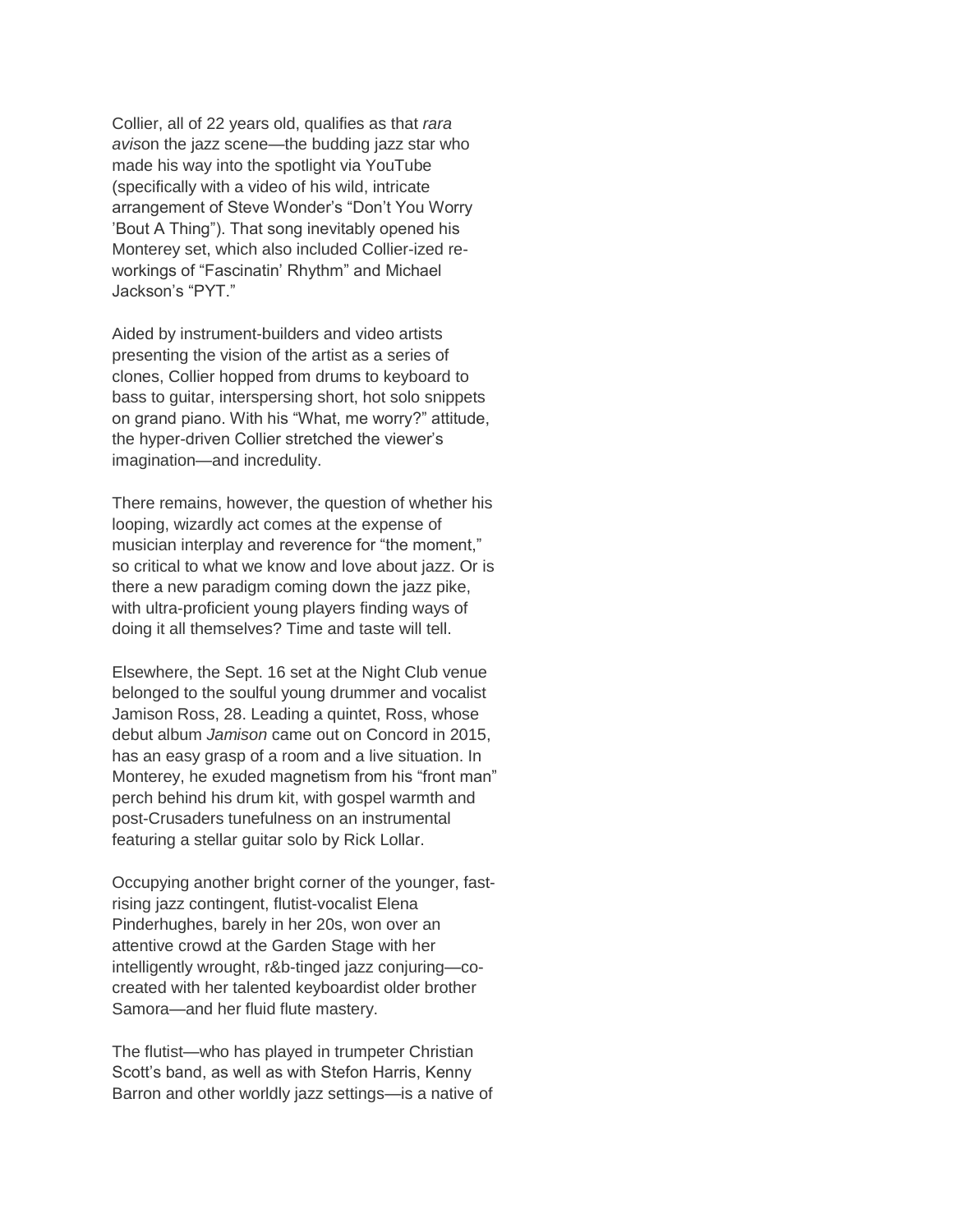Collier, all of 22 years old, qualifies as that *rara avis*on the jazz scene—the budding jazz star who made his way into the spotlight via YouTube (specifically with a video of his wild, intricate arrangement of Steve Wonder's "Don't You Worry 'Bout A Thing"). That song inevitably opened his Monterey set, which also included Collier-ized reworkings of "Fascinatin' Rhythm" and Michael Jackson's "PYT."

Aided by instrument-builders and video artists presenting the vision of the artist as a series of clones, Collier hopped from drums to keyboard to bass to guitar, interspersing short, hot solo snippets on grand piano. With his "What, me worry?" attitude, the hyper-driven Collier stretched the viewer's imagination—and incredulity.

There remains, however, the question of whether his looping, wizardly act comes at the expense of musician interplay and reverence for "the moment," so critical to what we know and love about jazz. Or is there a new paradigm coming down the jazz pike, with ultra-proficient young players finding ways of doing it all themselves? Time and taste will tell.

Elsewhere, the Sept. 16 set at the Night Club venue belonged to the soulful young drummer and vocalist Jamison Ross, 28. Leading a quintet, Ross, whose debut album *Jamison* came out on Concord in 2015, has an easy grasp of a room and a live situation. In Monterey, he exuded magnetism from his "front man" perch behind his drum kit, with gospel warmth and post-Crusaders tunefulness on an instrumental featuring a stellar guitar solo by Rick Lollar.

Occupying another bright corner of the younger, fastrising jazz contingent, flutist-vocalist Elena Pinderhughes, barely in her 20s, won over an attentive crowd at the Garden Stage with her intelligently wrought, r&b-tinged jazz conjuring—cocreated with her talented keyboardist older brother Samora—and her fluid flute mastery.

The flutist—who has played in trumpeter Christian Scott's band, as well as with Stefon Harris, Kenny Barron and other worldly jazz settings—is a native of